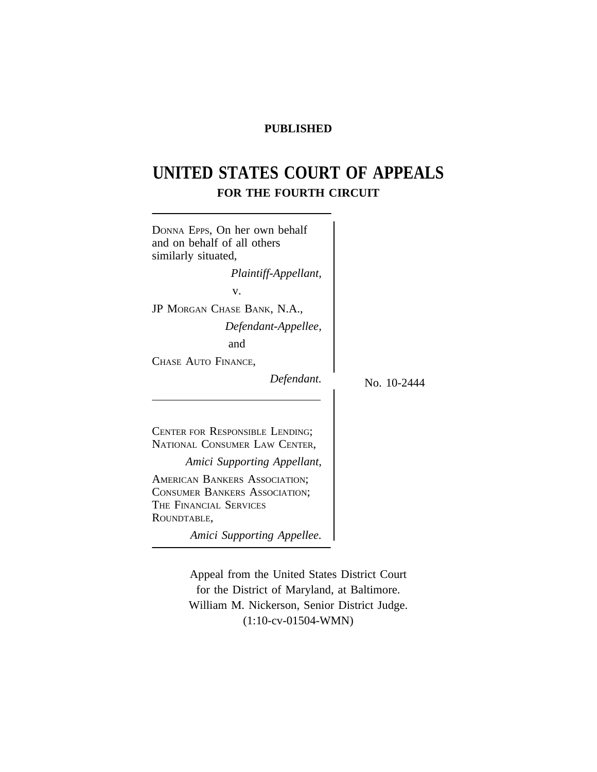# **PUBLISHED**

# **UNITED STATES COURT OF APPEALS FOR THE FOURTH CIRCUIT**

 $\overline{\phantom{a}}$ 

| DONNA EPPS, On her own behalf<br>and on behalf of all others<br>similarly situated,                            |             |
|----------------------------------------------------------------------------------------------------------------|-------------|
| Plaintiff-Appellant,                                                                                           |             |
| v.                                                                                                             |             |
| JP MORGAN CHASE BANK, N.A.,                                                                                    |             |
| Defendant-Appellee,                                                                                            |             |
| and                                                                                                            |             |
| CHASE AUTO FINANCE,                                                                                            |             |
| Defendant.                                                                                                     | No. 10-2444 |
| CENTER FOR RESPONSIBLE LENDING;<br>NATIONAL CONSUMER LAW CENTER,                                               |             |
| Amici Supporting Appellant,                                                                                    |             |
| AMERICAN BANKERS ASSOCIATION;<br><b>CONSUMER BANKERS ASSOCIATION;</b><br>THE FINANCIAL SERVICES<br>ROUNDTABLE, |             |
| Amici Supporting Appellee.                                                                                     |             |

Appeal from the United States District Court for the District of Maryland, at Baltimore. William M. Nickerson, Senior District Judge. (1:10-cv-01504-WMN)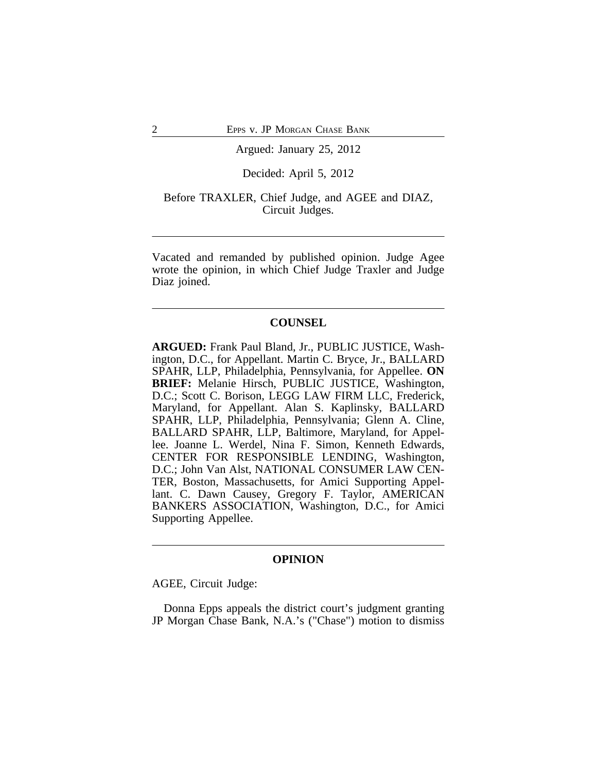#### Argued: January 25, 2012

# Decided: April 5, 2012

# Before TRAXLER, Chief Judge, and AGEE and DIAZ, Circuit Judges.

Vacated and remanded by published opinion. Judge Agee wrote the opinion, in which Chief Judge Traxler and Judge Diaz joined.

# **COUNSEL**

**ARGUED:** Frank Paul Bland, Jr., PUBLIC JUSTICE, Washington, D.C., for Appellant. Martin C. Bryce, Jr., BALLARD SPAHR, LLP, Philadelphia, Pennsylvania, for Appellee. **ON BRIEF:** Melanie Hirsch, PUBLIC JUSTICE, Washington, D.C.; Scott C. Borison, LEGG LAW FIRM LLC, Frederick, Maryland, for Appellant. Alan S. Kaplinsky, BALLARD SPAHR, LLP, Philadelphia, Pennsylvania; Glenn A. Cline, BALLARD SPAHR, LLP, Baltimore, Maryland, for Appellee. Joanne L. Werdel, Nina F. Simon, Kenneth Edwards, CENTER FOR RESPONSIBLE LENDING, Washington, D.C.; John Van Alst, NATIONAL CONSUMER LAW CEN-TER, Boston, Massachusetts, for Amici Supporting Appellant. C. Dawn Causey, Gregory F. Taylor, AMERICAN BANKERS ASSOCIATION, Washington, D.C., for Amici Supporting Appellee.

#### **OPINION**

AGEE, Circuit Judge:

Donna Epps appeals the district court's judgment granting JP Morgan Chase Bank, N.A.'s ("Chase") motion to dismiss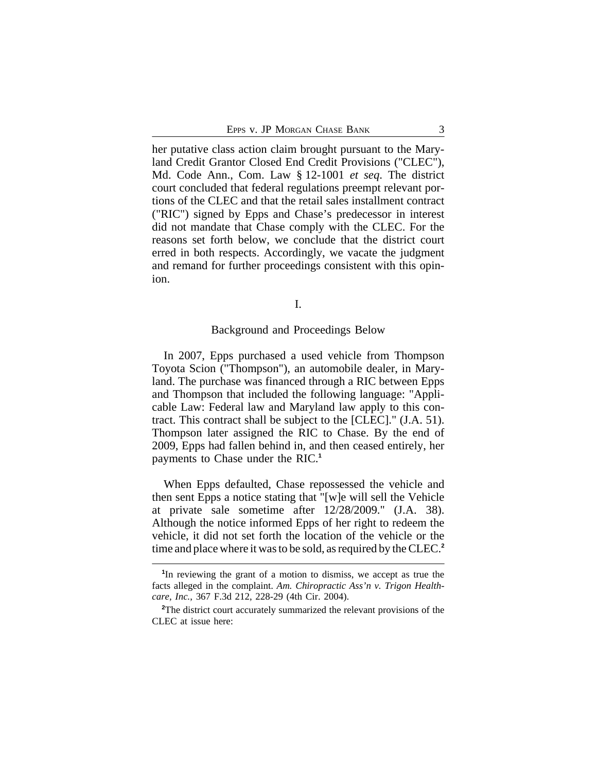her putative class action claim brought pursuant to the Maryland Credit Grantor Closed End Credit Provisions ("CLEC"), Md. Code Ann., Com. Law § 12-1001 *et seq*. The district court concluded that federal regulations preempt relevant portions of the CLEC and that the retail sales installment contract ("RIC") signed by Epps and Chase's predecessor in interest did not mandate that Chase comply with the CLEC. For the reasons set forth below, we conclude that the district court erred in both respects. Accordingly, we vacate the judgment and remand for further proceedings consistent with this opinion.

I.

#### Background and Proceedings Below

In 2007, Epps purchased a used vehicle from Thompson Toyota Scion ("Thompson"), an automobile dealer, in Maryland. The purchase was financed through a RIC between Epps and Thompson that included the following language: "Applicable Law: Federal law and Maryland law apply to this contract. This contract shall be subject to the [CLEC]." (J.A. 51). Thompson later assigned the RIC to Chase. By the end of 2009, Epps had fallen behind in, and then ceased entirely, her payments to Chase under the RIC.**<sup>1</sup>**

When Epps defaulted, Chase repossessed the vehicle and then sent Epps a notice stating that "[w]e will sell the Vehicle at private sale sometime after 12/28/2009." (J.A. 38). Although the notice informed Epps of her right to redeem the vehicle, it did not set forth the location of the vehicle or the time and place where it was to be sold, as required by the CLEC.**<sup>2</sup>**

**<sup>1</sup>** In reviewing the grant of a motion to dismiss, we accept as true the facts alleged in the complaint. *Am. Chiropractic Ass'n v. Trigon Healthcare, Inc.*, 367 F.3d 212, 228-29 (4th Cir. 2004).

<sup>&</sup>lt;sup>2</sup>The district court accurately summarized the relevant provisions of the CLEC at issue here: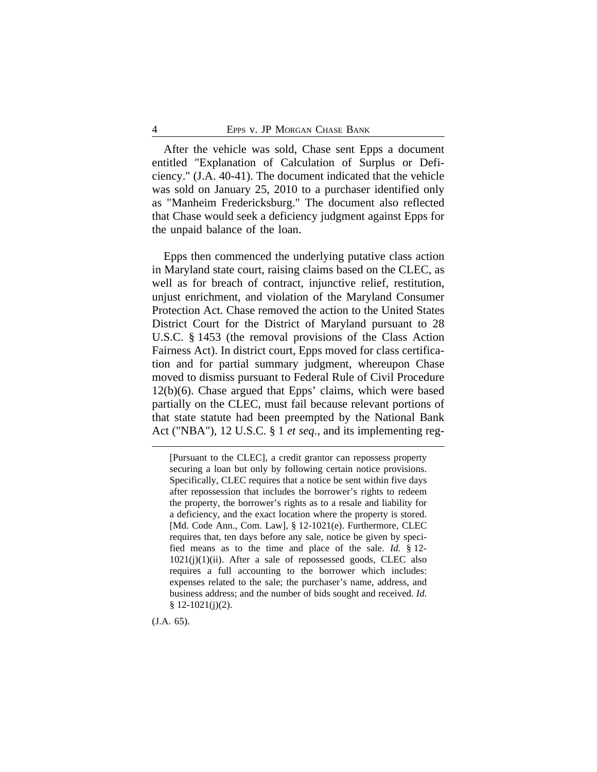After the vehicle was sold, Chase sent Epps a document entitled "Explanation of Calculation of Surplus or Deficiency." (J.A. 40-41). The document indicated that the vehicle was sold on January 25, 2010 to a purchaser identified only as "Manheim Fredericksburg." The document also reflected that Chase would seek a deficiency judgment against Epps for the unpaid balance of the loan.

Epps then commenced the underlying putative class action in Maryland state court, raising claims based on the CLEC, as well as for breach of contract, injunctive relief, restitution, unjust enrichment, and violation of the Maryland Consumer Protection Act. Chase removed the action to the United States District Court for the District of Maryland pursuant to 28 U.S.C. § 1453 (the removal provisions of the Class Action Fairness Act). In district court, Epps moved for class certification and for partial summary judgment, whereupon Chase moved to dismiss pursuant to Federal Rule of Civil Procedure 12(b)(6). Chase argued that Epps' claims, which were based partially on the CLEC, must fail because relevant portions of that state statute had been preempted by the National Bank Act ("NBA"), 12 U.S.C. § 1 *et seq.*, and its implementing reg-

[Pursuant to the CLEC], a credit grantor can repossess property securing a loan but only by following certain notice provisions. Specifically, CLEC requires that a notice be sent within five days after repossession that includes the borrower's rights to redeem the property, the borrower's rights as to a resale and liability for a deficiency, and the exact location where the property is stored. [Md. Code Ann., Com. Law], § 12-1021(e). Furthermore, CLEC requires that, ten days before any sale, notice be given by specified means as to the time and place of the sale. *Id.* § 12-  $1021(j)(1)(ii)$ . After a sale of repossessed goods, CLEC also requires a full accounting to the borrower which includes: expenses related to the sale; the purchaser's name, address, and business address; and the number of bids sought and received. *Id.* § 12-1021(j)(2).

(J.A. 65).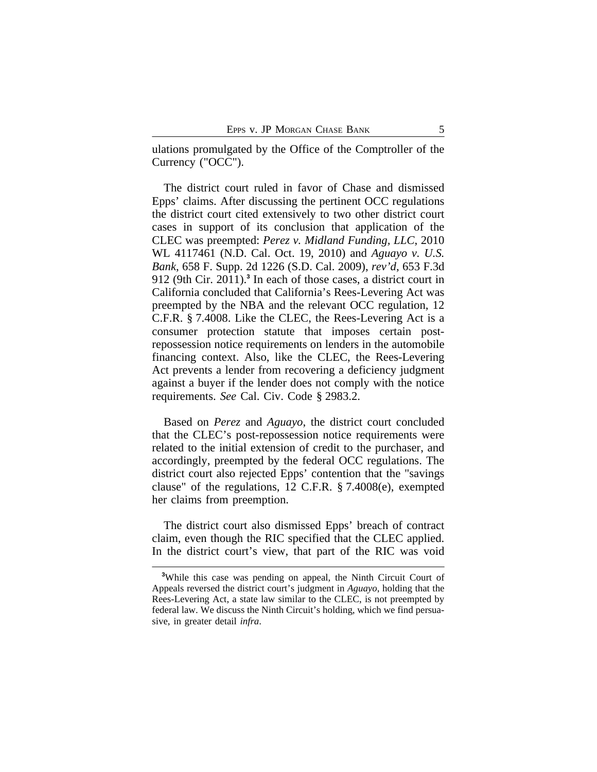ulations promulgated by the Office of the Comptroller of the Currency ("OCC").

The district court ruled in favor of Chase and dismissed Epps' claims. After discussing the pertinent OCC regulations the district court cited extensively to two other district court cases in support of its conclusion that application of the CLEC was preempted: *Perez v. Midland Funding, LLC*, 2010 WL 4117461 (N.D. Cal. Oct. 19, 2010) and *Aguayo v. U.S. Bank*, 658 F. Supp. 2d 1226 (S.D. Cal. 2009), *rev'd*, 653 F.3d 912 (9th Cir. 2011).**<sup>3</sup>** In each of those cases, a district court in California concluded that California's Rees-Levering Act was preempted by the NBA and the relevant OCC regulation, 12 C.F.R. § 7.4008. Like the CLEC, the Rees-Levering Act is a consumer protection statute that imposes certain postrepossession notice requirements on lenders in the automobile financing context. Also, like the CLEC, the Rees-Levering Act prevents a lender from recovering a deficiency judgment against a buyer if the lender does not comply with the notice requirements. *See* Cal. Civ. Code § 2983.2.

Based on *Perez* and *Aguayo*, the district court concluded that the CLEC's post-repossession notice requirements were related to the initial extension of credit to the purchaser, and accordingly, preempted by the federal OCC regulations. The district court also rejected Epps' contention that the "savings clause" of the regulations, 12 C.F.R. § 7.4008(e), exempted her claims from preemption.

The district court also dismissed Epps' breach of contract claim, even though the RIC specified that the CLEC applied. In the district court's view, that part of the RIC was void

<sup>&</sup>lt;sup>3</sup>While this case was pending on appeal, the Ninth Circuit Court of Appeals reversed the district court's judgment in *Aguayo*, holding that the Rees-Levering Act, a state law similar to the CLEC, is not preempted by federal law. We discuss the Ninth Circuit's holding, which we find persuasive, in greater detail *infra*.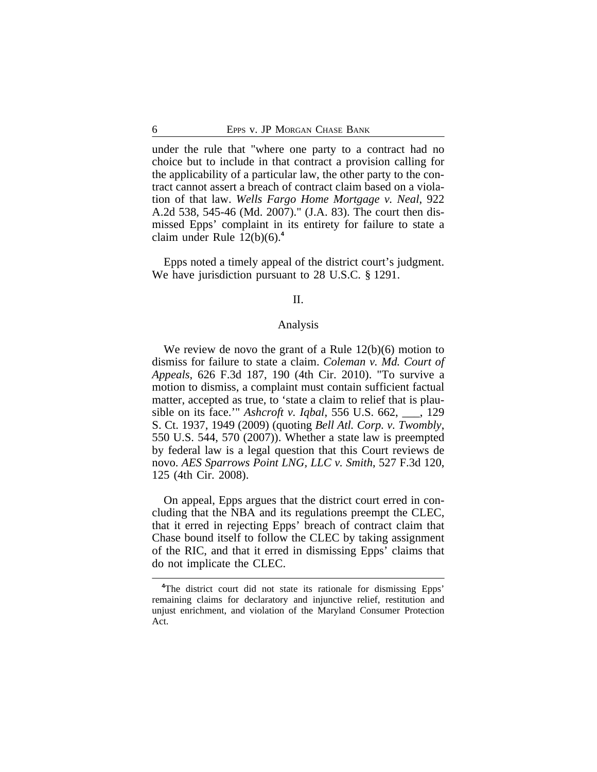under the rule that "where one party to a contract had no choice but to include in that contract a provision calling for the applicability of a particular law, the other party to the contract cannot assert a breach of contract claim based on a violation of that law. *Wells Fargo Home Mortgage v. Neal*, 922 A.2d 538, 545-46 (Md. 2007)." (J.A. 83). The court then dismissed Epps' complaint in its entirety for failure to state a claim under Rule 12(b)(6).**<sup>4</sup>**

Epps noted a timely appeal of the district court's judgment. We have jurisdiction pursuant to 28 U.S.C. § 1291.

# II.

#### Analysis

We review de novo the grant of a Rule 12(b)(6) motion to dismiss for failure to state a claim. *Coleman v. Md. Court of Appeals*, 626 F.3d 187, 190 (4th Cir. 2010). "To survive a motion to dismiss, a complaint must contain sufficient factual matter, accepted as true, to 'state a claim to relief that is plausible on its face.'" *Ashcroft v. Iqbal*, 556 U.S. 662, \_\_\_, 129 S. Ct. 1937, 1949 (2009) (quoting *Bell Atl. Corp. v. Twombly*, 550 U.S. 544, 570 (2007)). Whether a state law is preempted by federal law is a legal question that this Court reviews de novo. *AES Sparrows Point LNG, LLC v. Smith*, 527 F.3d 120, 125 (4th Cir. 2008).

On appeal, Epps argues that the district court erred in concluding that the NBA and its regulations preempt the CLEC, that it erred in rejecting Epps' breach of contract claim that Chase bound itself to follow the CLEC by taking assignment of the RIC, and that it erred in dismissing Epps' claims that do not implicate the CLEC.

**<sup>4</sup>**The district court did not state its rationale for dismissing Epps' remaining claims for declaratory and injunctive relief, restitution and unjust enrichment, and violation of the Maryland Consumer Protection Act.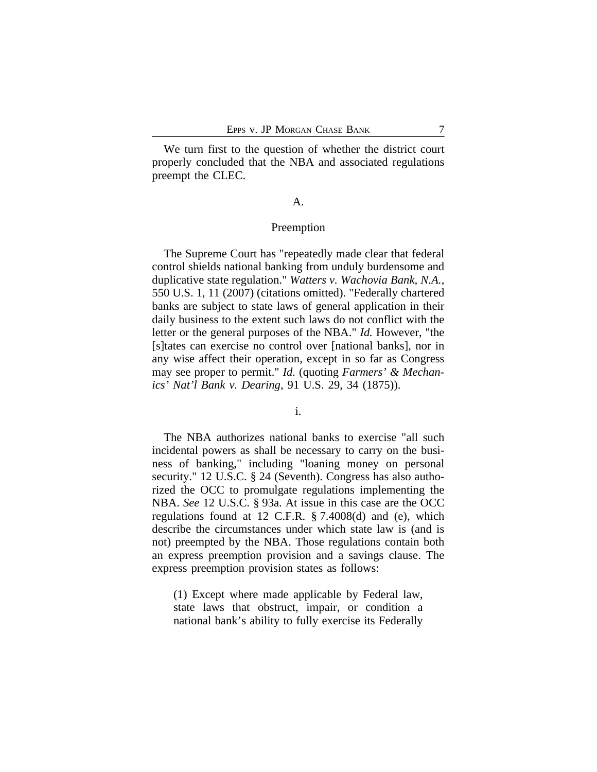We turn first to the question of whether the district court properly concluded that the NBA and associated regulations preempt the CLEC.

# A.

# Preemption

The Supreme Court has "repeatedly made clear that federal control shields national banking from unduly burdensome and duplicative state regulation." *Watters v. Wachovia Bank, N.A.*, 550 U.S. 1, 11 (2007) (citations omitted). "Federally chartered banks are subject to state laws of general application in their daily business to the extent such laws do not conflict with the letter or the general purposes of the NBA." *Id.* However, "the [s]tates can exercise no control over [national banks], nor in any wise affect their operation, except in so far as Congress may see proper to permit." *Id.* (quoting *Farmers' & Mechanics' Nat'l Bank v. Dearing*, 91 U.S. 29, 34 (1875)).

### i.

The NBA authorizes national banks to exercise "all such incidental powers as shall be necessary to carry on the business of banking," including "loaning money on personal security." 12 U.S.C. § 24 (Seventh). Congress has also authorized the OCC to promulgate regulations implementing the NBA. *See* 12 U.S.C. § 93a. At issue in this case are the OCC regulations found at 12 C.F.R. § 7.4008(d) and (e), which describe the circumstances under which state law is (and is not) preempted by the NBA. Those regulations contain both an express preemption provision and a savings clause. The express preemption provision states as follows:

(1) Except where made applicable by Federal law, state laws that obstruct, impair, or condition a national bank's ability to fully exercise its Federally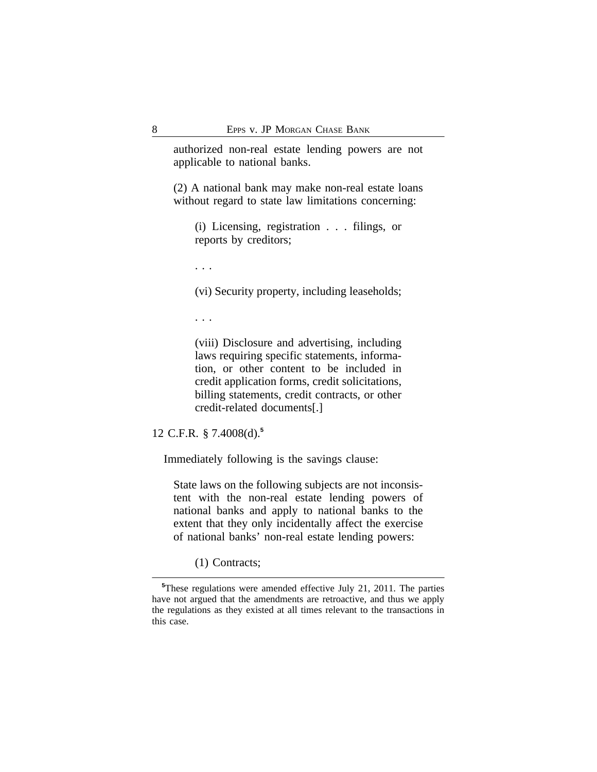authorized non-real estate lending powers are not applicable to national banks.

(2) A national bank may make non-real estate loans without regard to state law limitations concerning:

(i) Licensing, registration . . . filings, or reports by creditors;

. . .

(vi) Security property, including leaseholds;

. . .

(viii) Disclosure and advertising, including laws requiring specific statements, information, or other content to be included in credit application forms, credit solicitations, billing statements, credit contracts, or other credit-related documents[.]

12 C.F.R. § 7.4008(d).**<sup>5</sup>**

Immediately following is the savings clause:

State laws on the following subjects are not inconsistent with the non-real estate lending powers of national banks and apply to national banks to the extent that they only incidentally affect the exercise of national banks' non-real estate lending powers:

(1) Contracts;

**<sup>5</sup>**These regulations were amended effective July 21, 2011. The parties have not argued that the amendments are retroactive, and thus we apply the regulations as they existed at all times relevant to the transactions in this case.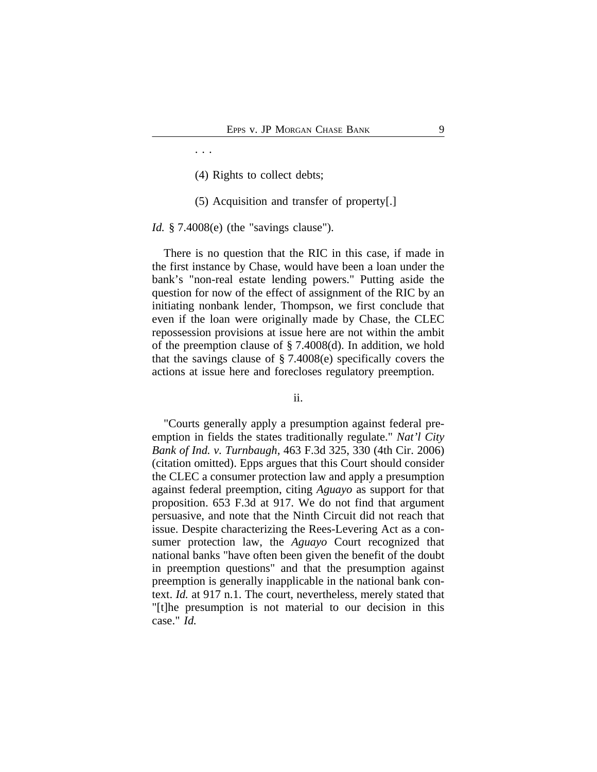- (4) Rights to collect debts;
- (5) Acquisition and transfer of property[.]

*Id.* § 7.4008(e) (the "savings clause").

. . .

There is no question that the RIC in this case, if made in the first instance by Chase, would have been a loan under the bank's "non-real estate lending powers." Putting aside the question for now of the effect of assignment of the RIC by an initiating nonbank lender, Thompson, we first conclude that even if the loan were originally made by Chase, the CLEC repossession provisions at issue here are not within the ambit of the preemption clause of § 7.4008(d). In addition, we hold that the savings clause of § 7.4008(e) specifically covers the actions at issue here and forecloses regulatory preemption.

ii.

"Courts generally apply a presumption against federal preemption in fields the states traditionally regulate." *Nat'l City Bank of Ind. v. Turnbaugh*, 463 F.3d 325, 330 (4th Cir. 2006) (citation omitted). Epps argues that this Court should consider the CLEC a consumer protection law and apply a presumption against federal preemption, citing *Aguayo* as support for that proposition. 653 F.3d at 917. We do not find that argument persuasive, and note that the Ninth Circuit did not reach that issue. Despite characterizing the Rees-Levering Act as a consumer protection law, the *Aguayo* Court recognized that national banks "have often been given the benefit of the doubt in preemption questions" and that the presumption against preemption is generally inapplicable in the national bank context. *Id.* at 917 n.1. The court, nevertheless, merely stated that "[t]he presumption is not material to our decision in this case." *Id.*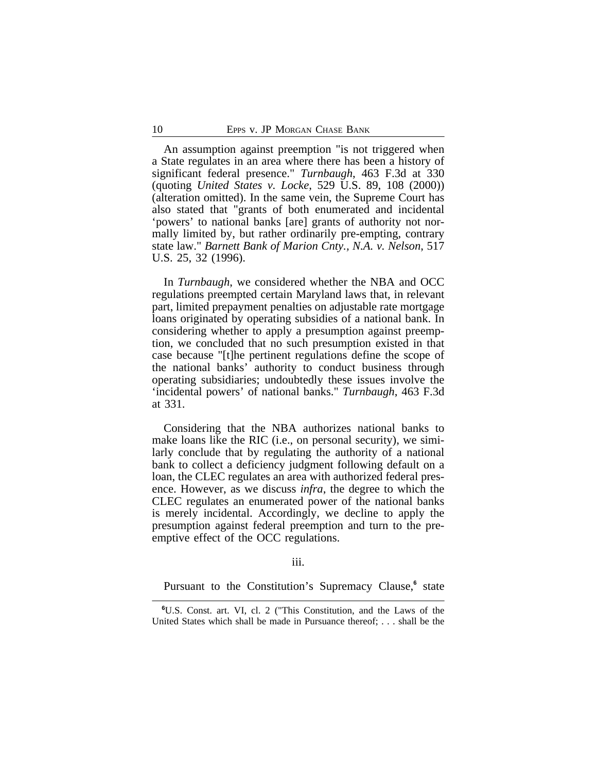An assumption against preemption "is not triggered when a State regulates in an area where there has been a history of significant federal presence." *Turnbaugh*, 463 F.3d at 330 (quoting *United States v. Locke*, 529 U.S. 89, 108 (2000)) (alteration omitted). In the same vein, the Supreme Court has also stated that "grants of both enumerated and incidental 'powers' to national banks [are] grants of authority not normally limited by, but rather ordinarily pre-empting, contrary state law." *Barnett Bank of Marion Cnty., N.A. v. Nelson*, 517 U.S. 25, 32 (1996).

In *Turnbaugh*, we considered whether the NBA and OCC regulations preempted certain Maryland laws that, in relevant part, limited prepayment penalties on adjustable rate mortgage loans originated by operating subsidies of a national bank. In considering whether to apply a presumption against preemption, we concluded that no such presumption existed in that case because "[t]he pertinent regulations define the scope of the national banks' authority to conduct business through operating subsidiaries; undoubtedly these issues involve the 'incidental powers' of national banks." *Turnbaugh*, 463 F.3d at 331.

Considering that the NBA authorizes national banks to make loans like the RIC (i.e., on personal security), we similarly conclude that by regulating the authority of a national bank to collect a deficiency judgment following default on a loan, the CLEC regulates an area with authorized federal presence. However, as we discuss *infra*, the degree to which the CLEC regulates an enumerated power of the national banks is merely incidental. Accordingly, we decline to apply the presumption against federal preemption and turn to the preemptive effect of the OCC regulations.

#### iii.

Pursuant to the Constitution's Supremacy Clause,<sup>6</sup> state

**<sup>6</sup>**U.S. Const. art. VI, cl. 2 ("This Constitution, and the Laws of the United States which shall be made in Pursuance thereof; . . . shall be the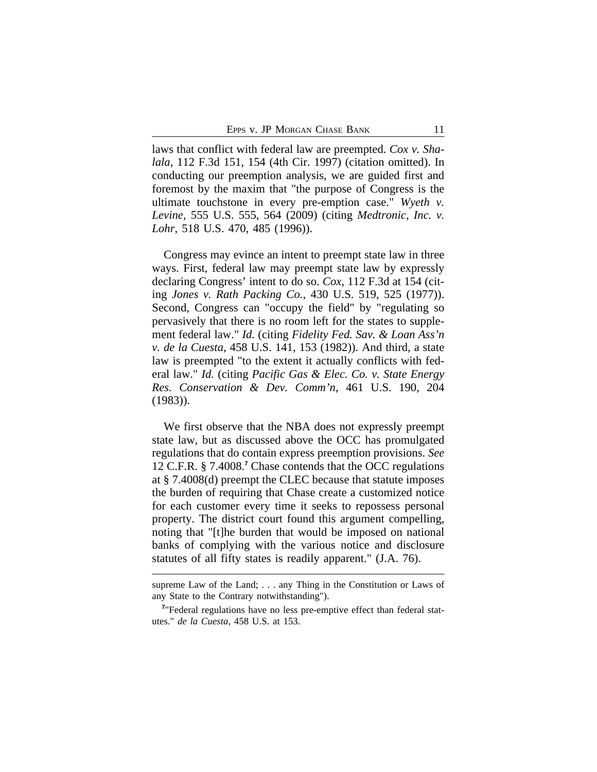laws that conflict with federal law are preempted. *Cox v. Shalala*, 112 F.3d 151, 154 (4th Cir. 1997) (citation omitted). In conducting our preemption analysis, we are guided first and foremost by the maxim that "the purpose of Congress is the ultimate touchstone in every pre-emption case." *Wyeth v. Levine*, 555 U.S. 555, 564 (2009) (citing *Medtronic, Inc. v. Lohr*, 518 U.S. 470, 485 (1996)).

Congress may evince an intent to preempt state law in three ways. First, federal law may preempt state law by expressly declaring Congress' intent to do so. *Cox*, 112 F.3d at 154 (citing *Jones v. Rath Packing Co.*, 430 U.S. 519, 525 (1977)). Second, Congress can "occupy the field" by "regulating so pervasively that there is no room left for the states to supplement federal law." *Id.* (citing *Fidelity Fed. Sav. & Loan Ass'n v. de la Cuesta*, 458 U.S. 141, 153 (1982)). And third, a state law is preempted "to the extent it actually conflicts with federal law." *Id.* (citing *Pacific Gas & Elec. Co. v. State Energy Res. Conservation & Dev. Comm'n*, 461 U.S. 190, 204 (1983)).

We first observe that the NBA does not expressly preempt state law, but as discussed above the OCC has promulgated regulations that do contain express preemption provisions. *See* 12 C.F.R. § 7.4008.<sup>7</sup> Chase contends that the OCC regulations at § 7.4008(d) preempt the CLEC because that statute imposes the burden of requiring that Chase create a customized notice for each customer every time it seeks to repossess personal property. The district court found this argument compelling, noting that "[t]he burden that would be imposed on national banks of complying with the various notice and disclosure statutes of all fifty states is readily apparent." (J.A. 76).

supreme Law of the Land; . . . any Thing in the Constitution or Laws of any State to the Contrary notwithstanding").

<sup>&</sup>lt;sup>7</sup>"Federal regulations have no less pre-emptive effect than federal statutes." *de la Cuesta*, 458 U.S. at 153.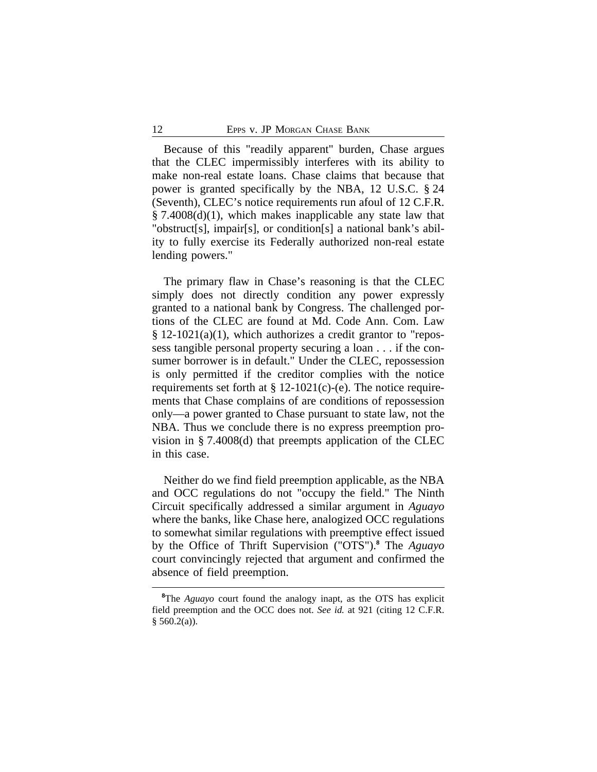Because of this "readily apparent" burden, Chase argues that the CLEC impermissibly interferes with its ability to make non-real estate loans. Chase claims that because that power is granted specifically by the NBA, 12 U.S.C. § 24 (Seventh), CLEC's notice requirements run afoul of 12 C.F.R. § 7.4008(d)(1), which makes inapplicable any state law that "obstruct[s], impair[s], or condition[s] a national bank's ability to fully exercise its Federally authorized non-real estate lending powers."

The primary flaw in Chase's reasoning is that the CLEC simply does not directly condition any power expressly granted to a national bank by Congress. The challenged portions of the CLEC are found at Md. Code Ann. Com. Law § 12-1021(a)(1), which authorizes a credit grantor to "repossess tangible personal property securing a loan . . . if the consumer borrower is in default." Under the CLEC, repossession is only permitted if the creditor complies with the notice requirements set forth at  $\S 12-1021(c)$ -(e). The notice requirements that Chase complains of are conditions of repossession only—a power granted to Chase pursuant to state law, not the NBA. Thus we conclude there is no express preemption provision in § 7.4008(d) that preempts application of the CLEC in this case.

Neither do we find field preemption applicable, as the NBA and OCC regulations do not "occupy the field." The Ninth Circuit specifically addressed a similar argument in *Aguayo* where the banks, like Chase here, analogized OCC regulations to somewhat similar regulations with preemptive effect issued by the Office of Thrift Supervision ("OTS").**<sup>8</sup>** The *Aguayo* court convincingly rejected that argument and confirmed the absence of field preemption.

**<sup>8</sup>**The *Aguayo* court found the analogy inapt, as the OTS has explicit field preemption and the OCC does not. *See id.* at 921 (citing 12 C.F.R.  $§$  560.2(a)).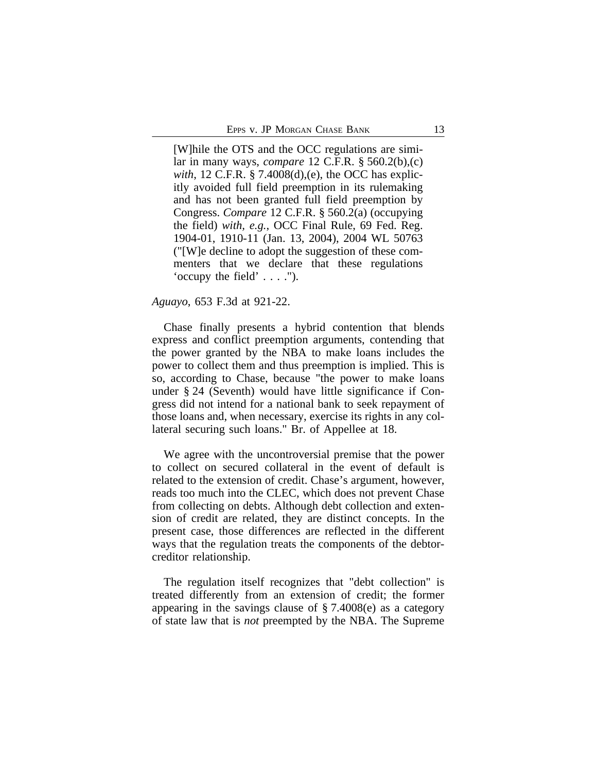[W]hile the OTS and the OCC regulations are similar in many ways, *compare* 12 C.F.R. § 560.2(b),(c) *with*, 12 C.F.R. § 7.4008(d),(e), the OCC has explicitly avoided full field preemption in its rulemaking and has not been granted full field preemption by Congress. *Compare* 12 C.F.R. § 560.2(a) (occupying the field) *with, e.g.*, OCC Final Rule, 69 Fed. Reg. 1904-01, 1910-11 (Jan. 13, 2004), 2004 WL 50763 ("[W]e decline to adopt the suggestion of these commenters that we declare that these regulations 'occupy the field' . . . .").

#### *Aguayo*, 653 F.3d at 921-22.

Chase finally presents a hybrid contention that blends express and conflict preemption arguments, contending that the power granted by the NBA to make loans includes the power to collect them and thus preemption is implied. This is so, according to Chase, because "the power to make loans under § 24 (Seventh) would have little significance if Congress did not intend for a national bank to seek repayment of those loans and, when necessary, exercise its rights in any collateral securing such loans." Br. of Appellee at 18.

We agree with the uncontroversial premise that the power to collect on secured collateral in the event of default is related to the extension of credit. Chase's argument, however, reads too much into the CLEC, which does not prevent Chase from collecting on debts. Although debt collection and extension of credit are related, they are distinct concepts. In the present case, those differences are reflected in the different ways that the regulation treats the components of the debtorcreditor relationship.

The regulation itself recognizes that "debt collection" is treated differently from an extension of credit; the former appearing in the savings clause of § 7.4008(e) as a category of state law that is *not* preempted by the NBA. The Supreme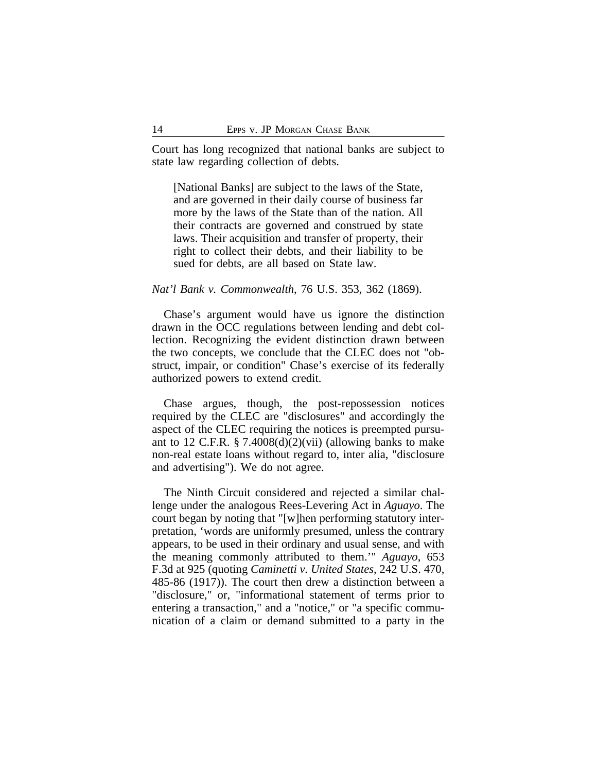Court has long recognized that national banks are subject to state law regarding collection of debts.

[National Banks] are subject to the laws of the State, and are governed in their daily course of business far more by the laws of the State than of the nation. All their contracts are governed and construed by state laws. Their acquisition and transfer of property, their right to collect their debts, and their liability to be sued for debts, are all based on State law.

#### *Nat'l Bank v. Commonwealth*, 76 U.S. 353, 362 (1869).

Chase's argument would have us ignore the distinction drawn in the OCC regulations between lending and debt collection. Recognizing the evident distinction drawn between the two concepts, we conclude that the CLEC does not "obstruct, impair, or condition" Chase's exercise of its federally authorized powers to extend credit.

Chase argues, though, the post-repossession notices required by the CLEC are "disclosures" and accordingly the aspect of the CLEC requiring the notices is preempted pursuant to 12 C.F.R. § 7.4008 $(d)(2)(vii)$  (allowing banks to make non-real estate loans without regard to, inter alia, "disclosure and advertising"). We do not agree.

The Ninth Circuit considered and rejected a similar challenge under the analogous Rees-Levering Act in *Aguayo*. The court began by noting that "[w]hen performing statutory interpretation, 'words are uniformly presumed, unless the contrary appears, to be used in their ordinary and usual sense, and with the meaning commonly attributed to them.'" *Aguayo*, 653 F.3d at 925 (quoting *Caminetti v. United States*, 242 U.S. 470, 485-86 (1917)). The court then drew a distinction between a "disclosure," or, "informational statement of terms prior to entering a transaction," and a "notice," or "a specific communication of a claim or demand submitted to a party in the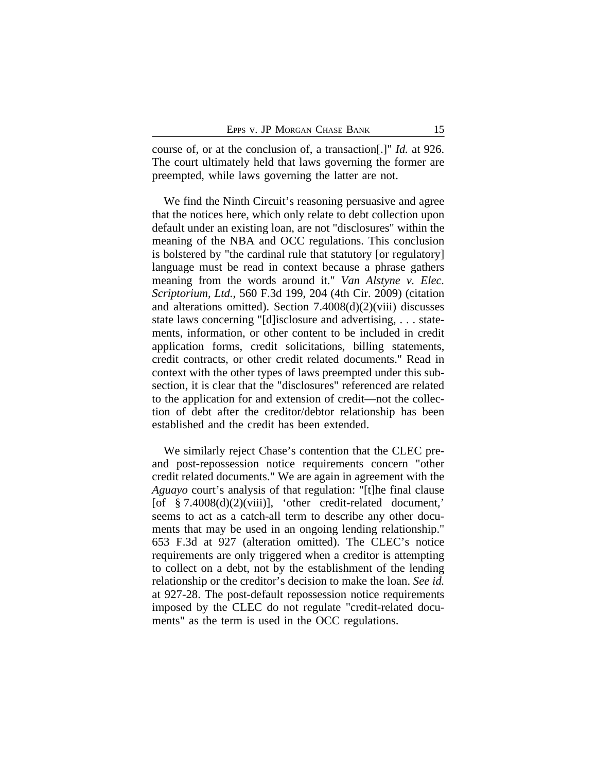course of, or at the conclusion of, a transaction[.]" *Id.* at 926. The court ultimately held that laws governing the former are preempted, while laws governing the latter are not.

We find the Ninth Circuit's reasoning persuasive and agree that the notices here, which only relate to debt collection upon default under an existing loan, are not "disclosures" within the meaning of the NBA and OCC regulations. This conclusion is bolstered by "the cardinal rule that statutory [or regulatory] language must be read in context because a phrase gathers meaning from the words around it." *Van Alstyne v. Elec. Scriptorium, Ltd.*, 560 F.3d 199, 204 (4th Cir. 2009) (citation and alterations omitted). Section 7.4008(d)(2)(viii) discusses state laws concerning "[d]isclosure and advertising, . . . statements, information, or other content to be included in credit application forms, credit solicitations, billing statements, credit contracts, or other credit related documents." Read in context with the other types of laws preempted under this subsection, it is clear that the "disclosures" referenced are related to the application for and extension of credit—not the collection of debt after the creditor/debtor relationship has been established and the credit has been extended.

We similarly reject Chase's contention that the CLEC preand post-repossession notice requirements concern "other credit related documents." We are again in agreement with the *Aguayo* court's analysis of that regulation: "[t]he final clause [of  $§ 7.4008(d)(2)(viii)$ ], 'other credit-related document,' seems to act as a catch-all term to describe any other documents that may be used in an ongoing lending relationship." 653 F.3d at 927 (alteration omitted). The CLEC's notice requirements are only triggered when a creditor is attempting to collect on a debt, not by the establishment of the lending relationship or the creditor's decision to make the loan. *See id.* at 927-28. The post-default repossession notice requirements imposed by the CLEC do not regulate "credit-related documents" as the term is used in the OCC regulations.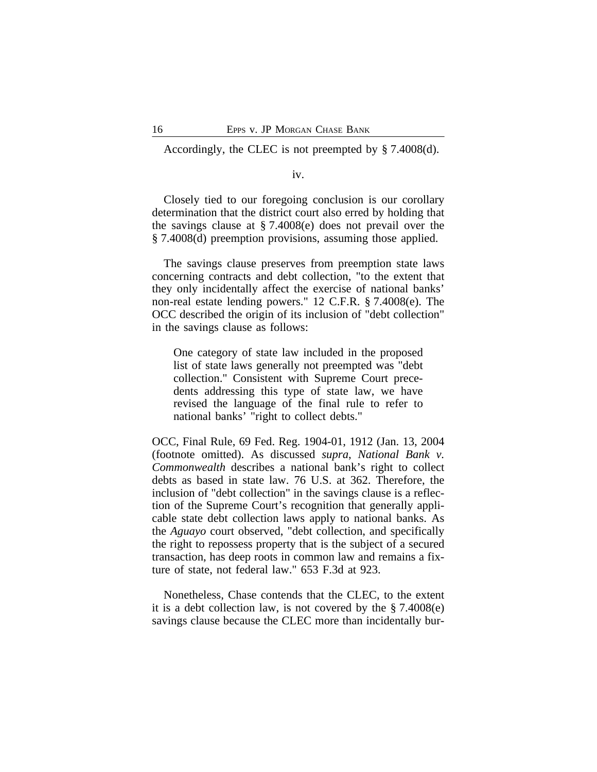Accordingly, the CLEC is not preempted by § 7.4008(d).

#### iv.

Closely tied to our foregoing conclusion is our corollary determination that the district court also erred by holding that the savings clause at § 7.4008(e) does not prevail over the § 7.4008(d) preemption provisions, assuming those applied.

The savings clause preserves from preemption state laws concerning contracts and debt collection, "to the extent that they only incidentally affect the exercise of national banks' non-real estate lending powers." 12 C.F.R. § 7.4008(e). The OCC described the origin of its inclusion of "debt collection" in the savings clause as follows:

One category of state law included in the proposed list of state laws generally not preempted was "debt collection." Consistent with Supreme Court precedents addressing this type of state law, we have revised the language of the final rule to refer to national banks' "right to collect debts."

OCC, Final Rule, 69 Fed. Reg. 1904-01, 1912 (Jan. 13, 2004 (footnote omitted). As discussed *supra*, *National Bank v. Commonwealth* describes a national bank's right to collect debts as based in state law. 76 U.S. at 362. Therefore, the inclusion of "debt collection" in the savings clause is a reflection of the Supreme Court's recognition that generally applicable state debt collection laws apply to national banks. As the *Aguayo* court observed, "debt collection, and specifically the right to repossess property that is the subject of a secured transaction, has deep roots in common law and remains a fixture of state, not federal law." 653 F.3d at 923.

Nonetheless, Chase contends that the CLEC, to the extent it is a debt collection law, is not covered by the § 7.4008(e) savings clause because the CLEC more than incidentally bur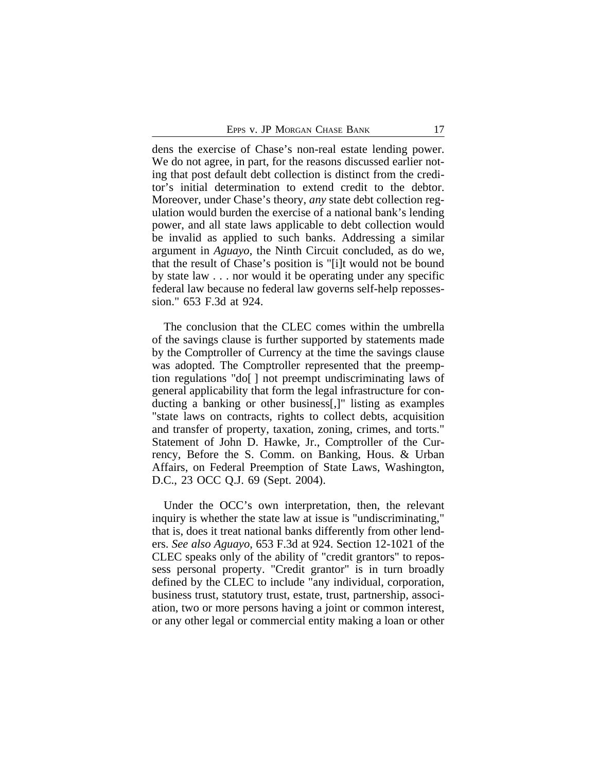dens the exercise of Chase's non-real estate lending power. We do not agree, in part, for the reasons discussed earlier noting that post default debt collection is distinct from the creditor's initial determination to extend credit to the debtor. Moreover, under Chase's theory, *any* state debt collection regulation would burden the exercise of a national bank's lending power, and all state laws applicable to debt collection would be invalid as applied to such banks. Addressing a similar argument in *Aguayo*, the Ninth Circuit concluded, as do we, that the result of Chase's position is "[i]t would not be bound by state law . . . nor would it be operating under any specific federal law because no federal law governs self-help repossession." 653 F.3d at 924.

The conclusion that the CLEC comes within the umbrella of the savings clause is further supported by statements made by the Comptroller of Currency at the time the savings clause was adopted. The Comptroller represented that the preemption regulations "do[ ] not preempt undiscriminating laws of general applicability that form the legal infrastructure for conducting a banking or other business[,]" listing as examples "state laws on contracts, rights to collect debts, acquisition and transfer of property, taxation, zoning, crimes, and torts." Statement of John D. Hawke, Jr., Comptroller of the Currency, Before the S. Comm. on Banking, Hous. & Urban Affairs, on Federal Preemption of State Laws, Washington, D.C., 23 OCC Q.J. 69 (Sept. 2004).

Under the OCC's own interpretation, then, the relevant inquiry is whether the state law at issue is "undiscriminating," that is, does it treat national banks differently from other lenders. *See also Aguayo*, 653 F.3d at 924. Section 12-1021 of the CLEC speaks only of the ability of "credit grantors" to repossess personal property. "Credit grantor" is in turn broadly defined by the CLEC to include "any individual, corporation, business trust, statutory trust, estate, trust, partnership, association, two or more persons having a joint or common interest, or any other legal or commercial entity making a loan or other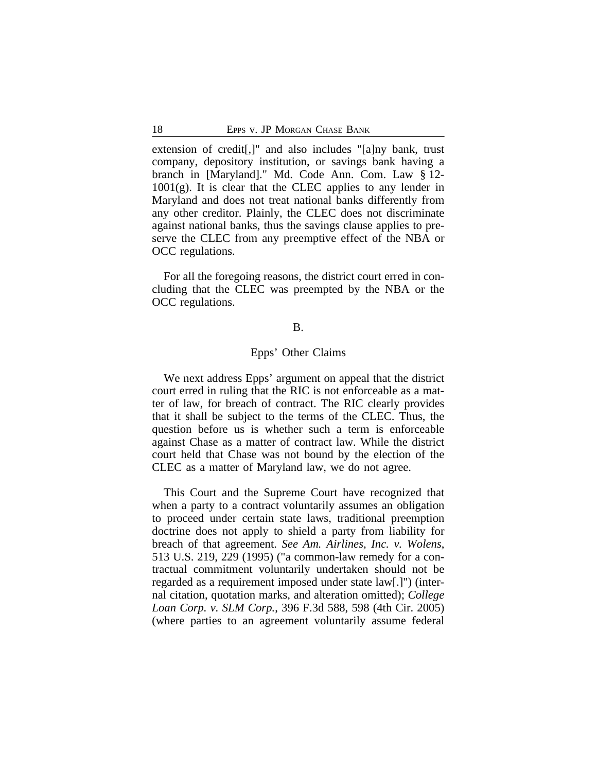extension of credit[,]" and also includes "[a]ny bank, trust company, depository institution, or savings bank having a branch in [Maryland]." Md. Code Ann. Com. Law § 12-  $1001(g)$ . It is clear that the CLEC applies to any lender in Maryland and does not treat national banks differently from any other creditor. Plainly, the CLEC does not discriminate against national banks, thus the savings clause applies to preserve the CLEC from any preemptive effect of the NBA or OCC regulations.

For all the foregoing reasons, the district court erred in concluding that the CLEC was preempted by the NBA or the OCC regulations.

# B.

# Epps' Other Claims

We next address Epps' argument on appeal that the district court erred in ruling that the RIC is not enforceable as a matter of law, for breach of contract. The RIC clearly provides that it shall be subject to the terms of the CLEC. Thus, the question before us is whether such a term is enforceable against Chase as a matter of contract law. While the district court held that Chase was not bound by the election of the CLEC as a matter of Maryland law, we do not agree.

This Court and the Supreme Court have recognized that when a party to a contract voluntarily assumes an obligation to proceed under certain state laws, traditional preemption doctrine does not apply to shield a party from liability for breach of that agreement. *See Am. Airlines, Inc. v. Wolens*, 513 U.S. 219, 229 (1995) ("a common-law remedy for a contractual commitment voluntarily undertaken should not be regarded as a requirement imposed under state law[.]") (internal citation, quotation marks, and alteration omitted); *College Loan Corp. v. SLM Corp.*, 396 F.3d 588, 598 (4th Cir. 2005) (where parties to an agreement voluntarily assume federal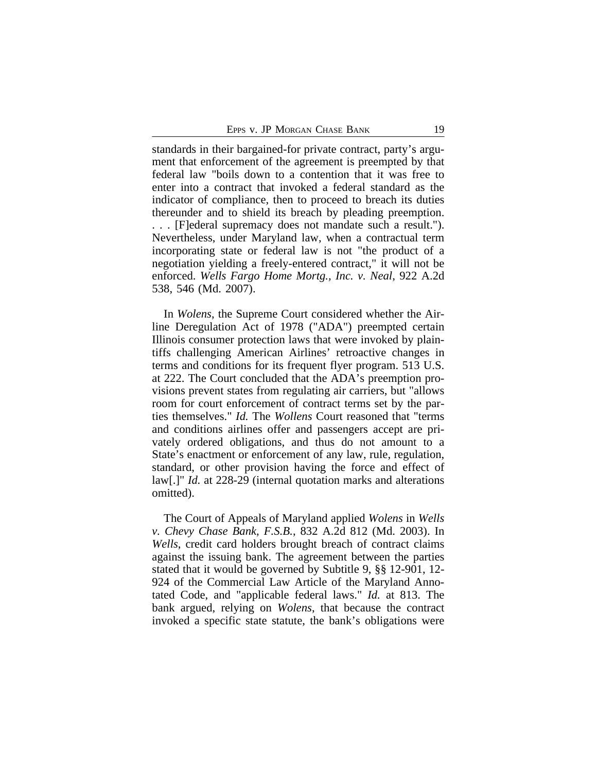standards in their bargained-for private contract, party's argument that enforcement of the agreement is preempted by that federal law "boils down to a contention that it was free to enter into a contract that invoked a federal standard as the indicator of compliance, then to proceed to breach its duties thereunder and to shield its breach by pleading preemption. . . . [F]ederal supremacy does not mandate such a result."). Nevertheless, under Maryland law, when a contractual term incorporating state or federal law is not "the product of a negotiation yielding a freely-entered contract," it will not be enforced. *Wells Fargo Home Mortg., Inc. v. Neal*, 922 A.2d 538, 546 (Md. 2007).

In *Wolens*, the Supreme Court considered whether the Airline Deregulation Act of 1978 ("ADA") preempted certain Illinois consumer protection laws that were invoked by plaintiffs challenging American Airlines' retroactive changes in terms and conditions for its frequent flyer program. 513 U.S. at 222. The Court concluded that the ADA's preemption provisions prevent states from regulating air carriers, but "allows room for court enforcement of contract terms set by the parties themselves." *Id.* The *Wollens* Court reasoned that "terms and conditions airlines offer and passengers accept are privately ordered obligations, and thus do not amount to a State's enactment or enforcement of any law, rule, regulation, standard, or other provision having the force and effect of law[.]" *Id.* at 228-29 (internal quotation marks and alterations omitted).

The Court of Appeals of Maryland applied *Wolens* in *Wells v. Chevy Chase Bank, F.S.B.*, 832 A.2d 812 (Md. 2003). In *Wells*, credit card holders brought breach of contract claims against the issuing bank. The agreement between the parties stated that it would be governed by Subtitle 9, §§ 12-901, 12- 924 of the Commercial Law Article of the Maryland Annotated Code, and "applicable federal laws." *Id.* at 813. The bank argued, relying on *Wolens*, that because the contract invoked a specific state statute, the bank's obligations were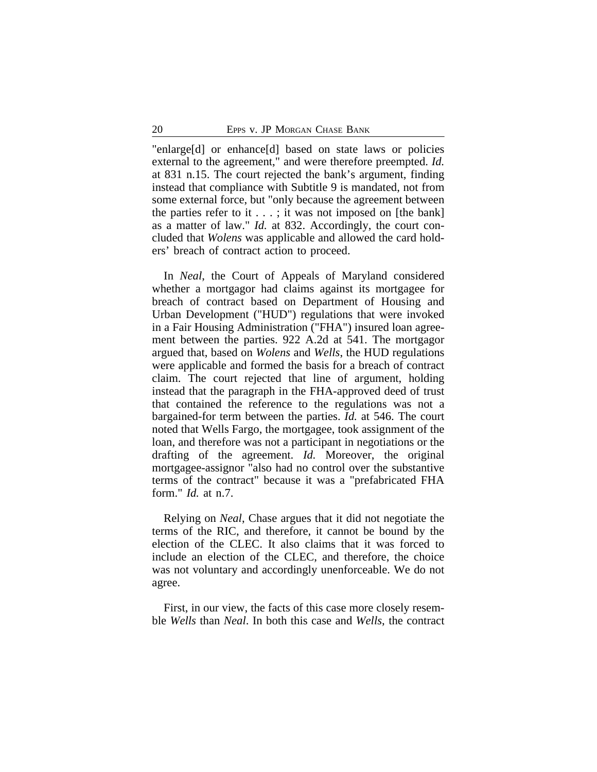"enlarge[d] or enhance[d] based on state laws or policies external to the agreement," and were therefore preempted. *Id.* at 831 n.15. The court rejected the bank's argument, finding instead that compliance with Subtitle 9 is mandated, not from some external force, but "only because the agreement between the parties refer to it  $\dots$ ; it was not imposed on [the bank] as a matter of law." *Id.* at 832. Accordingly, the court concluded that *Wolens* was applicable and allowed the card holders' breach of contract action to proceed.

In *Neal*, the Court of Appeals of Maryland considered whether a mortgagor had claims against its mortgagee for breach of contract based on Department of Housing and Urban Development ("HUD") regulations that were invoked in a Fair Housing Administration ("FHA") insured loan agreement between the parties. 922 A.2d at 541. The mortgagor argued that, based on *Wolens* and *Wells*, the HUD regulations were applicable and formed the basis for a breach of contract claim. The court rejected that line of argument, holding instead that the paragraph in the FHA-approved deed of trust that contained the reference to the regulations was not a bargained-for term between the parties. *Id.* at 546. The court noted that Wells Fargo, the mortgagee, took assignment of the loan, and therefore was not a participant in negotiations or the drafting of the agreement. *Id.* Moreover, the original mortgagee-assignor "also had no control over the substantive terms of the contract" because it was a "prefabricated FHA form." *Id.* at n.7.

Relying on *Neal*, Chase argues that it did not negotiate the terms of the RIC, and therefore, it cannot be bound by the election of the CLEC. It also claims that it was forced to include an election of the CLEC, and therefore, the choice was not voluntary and accordingly unenforceable. We do not agree.

First, in our view, the facts of this case more closely resemble *Wells* than *Neal*. In both this case and *Wells*, the contract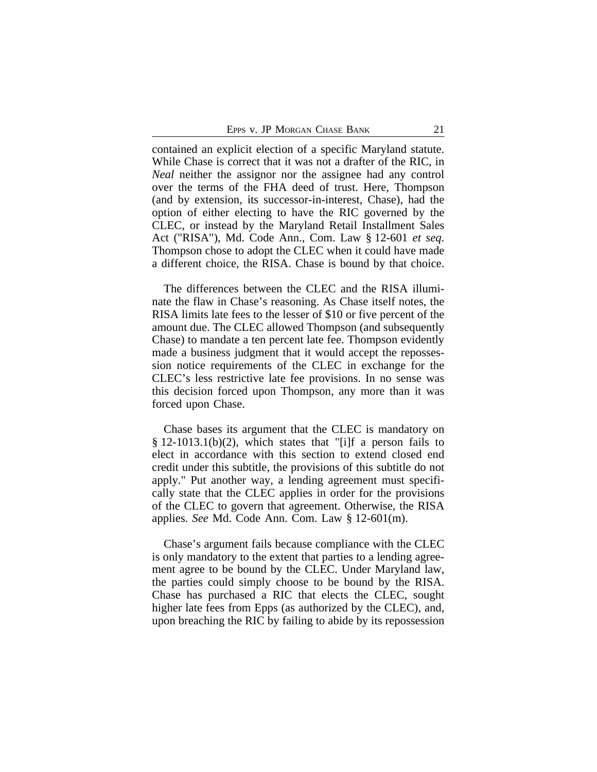contained an explicit election of a specific Maryland statute. While Chase is correct that it was not a drafter of the RIC, in *Neal* neither the assignor nor the assignee had any control over the terms of the FHA deed of trust. Here, Thompson (and by extension, its successor-in-interest, Chase), had the option of either electing to have the RIC governed by the CLEC, or instead by the Maryland Retail Installment Sales Act ("RISA"), Md. Code Ann., Com. Law § 12-601 *et seq*. Thompson chose to adopt the CLEC when it could have made a different choice, the RISA. Chase is bound by that choice.

The differences between the CLEC and the RISA illuminate the flaw in Chase's reasoning. As Chase itself notes, the RISA limits late fees to the lesser of \$10 or five percent of the amount due. The CLEC allowed Thompson (and subsequently Chase) to mandate a ten percent late fee. Thompson evidently made a business judgment that it would accept the repossession notice requirements of the CLEC in exchange for the CLEC's less restrictive late fee provisions. In no sense was this decision forced upon Thompson, any more than it was forced upon Chase.

Chase bases its argument that the CLEC is mandatory on § 12-1013.1(b)(2), which states that "[i]f a person fails to elect in accordance with this section to extend closed end credit under this subtitle, the provisions of this subtitle do not apply." Put another way, a lending agreement must specifically state that the CLEC applies in order for the provisions of the CLEC to govern that agreement. Otherwise, the RISA applies. *See* Md. Code Ann. Com. Law § 12-601(m).

Chase's argument fails because compliance with the CLEC is only mandatory to the extent that parties to a lending agreement agree to be bound by the CLEC. Under Maryland law, the parties could simply choose to be bound by the RISA. Chase has purchased a RIC that elects the CLEC, sought higher late fees from Epps (as authorized by the CLEC), and, upon breaching the RIC by failing to abide by its repossession